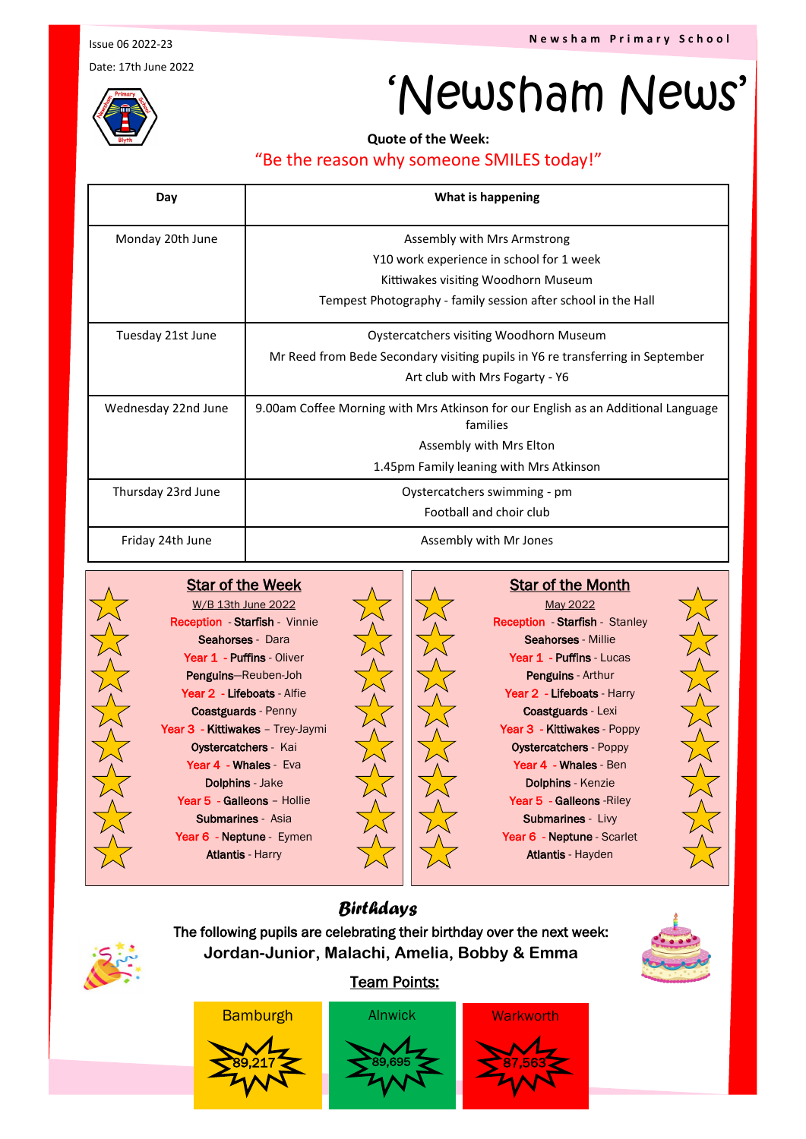**N e w s h a m P r i m a r y S c h o o l**

Issue 06 2022-23

Date: 17th June 2022

# 'Newsham News'

**Quote of the Week:** 

### "Be the reason why someone SMILES today!"

| Day                 | What is happening                                                                             |
|---------------------|-----------------------------------------------------------------------------------------------|
| Monday 20th June    | Assembly with Mrs Armstrong                                                                   |
|                     | Y10 work experience in school for 1 week                                                      |
|                     | Kittiwakes visiting Woodhorn Museum                                                           |
|                     | Tempest Photography - family session after school in the Hall                                 |
| Tuesday 21st June   | Oystercatchers visiting Woodhorn Museum                                                       |
|                     | Mr Reed from Bede Secondary visiting pupils in Y6 re transferring in September                |
|                     | Art club with Mrs Fogarty - Y6                                                                |
| Wednesday 22nd June | 9.00am Coffee Morning with Mrs Atkinson for our English as an Additional Language<br>families |
|                     | Assembly with Mrs Elton                                                                       |
|                     | 1.45pm Family leaning with Mrs Atkinson                                                       |
| Thursday 23rd June  | Oystercatchers swimming - pm                                                                  |
|                     | Football and choir club                                                                       |
| Friday 24th June    | Assembly with Mr Jones                                                                        |



#### W/B 13th June 2022 Reception - Starfish - Vinnie Seahorses - Dara Year 1 - Puffins - Oliver Penguins—Reuben-Joh Year 2 - Lifeboats - Alfie Coastguards - Penny Year 3 - Kittiwakes - Trey-Jaymi Oystercatchers - Kai Year 4 - Whales - Eva Dolphins - Jake Year 5 - Galleons - Hollie Submarines - Asia Year 6 - Neptune - Eymen Atlantis - Harry

Star of the Week



May 2022 Reception - Starfish - Stanley Seahorses - Millie Year 1 - Puffins - Lucas Penguins - Arthur Year 2 - Lifeboats - Harry Coastguards - Lexi Year 3 - Kittiwakes - Poppy Oystercatchers - Poppy Year 4 - Whales - Ben Dolphins - Kenzie Year 5 - Galleons - Riley Submarines - Livy Year 6 - Neptune - Scarlet Atlantis - Hayden

Star of the Month

## *Birthdays*

The following pupils are celebrating their birthday over the next week: **Jordan-Junior, Malachi, Amelia, Bobby & Emma**



### Team Points: